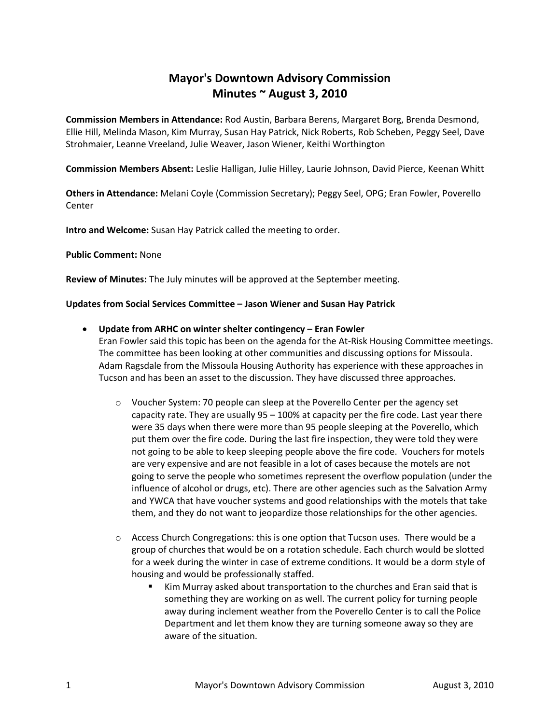# **Mayor's Downtown Advisory Commission Minutes ~ August 3, 2010**

**Commission Members in Attendance:** Rod Austin, Barbara Berens, Margaret Borg, Brenda Desmond, Ellie Hill, Melinda Mason, Kim Murray, Susan Hay Patrick, Nick Roberts, Rob Scheben, Peggy Seel, Dave Strohmaier, Leanne Vreeland, Julie Weaver, Jason Wiener, Keithi Worthington

**Commission Members Absent:** Leslie Halligan, Julie Hilley, Laurie Johnson, David Pierce, Keenan Whitt

**Others in Attendance:** Melani Coyle (Commission Secretary); Peggy Seel, OPG; Eran Fowler, Poverello Center

**Intro and Welcome:** Susan Hay Patrick called the meeting to order.

#### **Public Comment:** None

**Review of Minutes:** The July minutes will be approved at the September meeting.

#### **Updates from Social Services Committee – Jason Wiener and Susan Hay Patrick**

**Update from ARHC on winter shelter contingency – Eran Fowler**

Eran Fowler said this topic has been on the agenda for the At-Risk Housing Committee meetings. The committee has been looking at other communities and discussing options for Missoula. Adam Ragsdale from the Missoula Housing Authority has experience with these approaches in Tucson and has been an asset to the discussion. They have discussed three approaches.

- o Voucher System: 70 people can sleep at the Poverello Center per the agency set capacity rate. They are usually 95 – 100% at capacity per the fire code. Last year there were 35 days when there were more than 95 people sleeping at the Poverello, which put them over the fire code. During the last fire inspection, they were told they were not going to be able to keep sleeping people above the fire code. Vouchers for motels are very expensive and are not feasible in a lot of cases because the motels are not going to serve the people who sometimes represent the overflow population (under the influence of alcohol or drugs, etc). There are other agencies such as the Salvation Army and YWCA that have voucher systems and good relationships with the motels that take them, and they do not want to jeopardize those relationships for the other agencies.
- $\circ$  Access Church Congregations: this is one option that Tucson uses. There would be a group of churches that would be on a rotation schedule. Each church would be slotted for a week during the winter in case of extreme conditions. It would be a dorm style of housing and would be professionally staffed.
	- Kim Murray asked about transportation to the churches and Eran said that is something they are working on as well. The current policy for turning people away during inclement weather from the Poverello Center is to call the Police Department and let them know they are turning someone away so they are aware of the situation.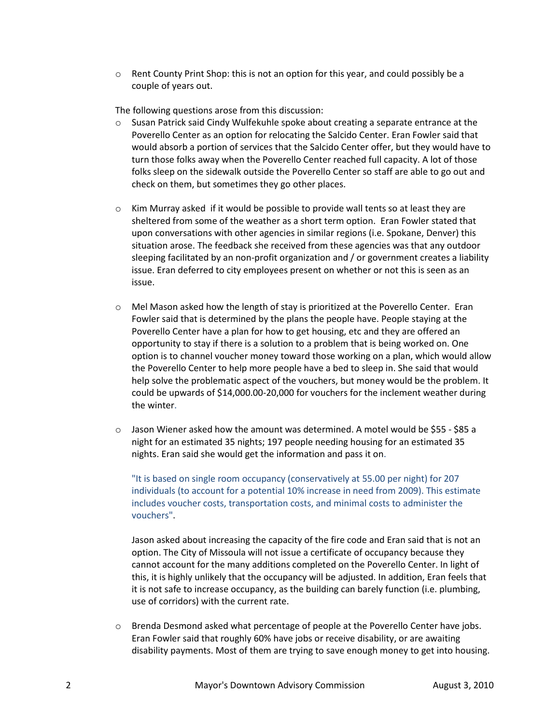$\circ$  Rent County Print Shop: this is not an option for this year, and could possibly be a couple of years out.

The following questions arose from this discussion:

- $\circ$  Susan Patrick said Cindy Wulfekuhle spoke about creating a separate entrance at the Poverello Center as an option for relocating the Salcido Center. Eran Fowler said that would absorb a portion of services that the Salcido Center offer, but they would have to turn those folks away when the Poverello Center reached full capacity. A lot of those folks sleep on the sidewalk outside the Poverello Center so staff are able to go out and check on them, but sometimes they go other places.
- $\circ$  Kim Murray asked if it would be possible to provide wall tents so at least they are sheltered from some of the weather as a short term option. Eran Fowler stated that upon conversations with other agencies in similar regions (i.e. Spokane, Denver) this situation arose. The feedback she received from these agencies was that any outdoor sleeping facilitated by an non-profit organization and / or government creates a liability issue. Eran deferred to city employees present on whether or not this is seen as an issue.
- o Mel Mason asked how the length of stay is prioritized at the Poverello Center. Eran Fowler said that is determined by the plans the people have. People staying at the Poverello Center have a plan for how to get housing, etc and they are offered an opportunity to stay if there is a solution to a problem that is being worked on. One option is to channel voucher money toward those working on a plan, which would allow the Poverello Center to help more people have a bed to sleep in. She said that would help solve the problematic aspect of the vouchers, but money would be the problem. It could be upwards of \$14,000.00-20,000 for vouchers for the inclement weather during the winter.
- $\circ$  Jason Wiener asked how the amount was determined. A motel would be \$55 \$85 a night for an estimated 35 nights; 197 people needing housing for an estimated 35 nights. Eran said she would get the information and pass it on.

"It is based on single room occupancy (conservatively at 55.00 per night) for 207 individuals (to account for a potential 10% increase in need from 2009). This estimate includes voucher costs, transportation costs, and minimal costs to administer the vouchers".

Jason asked about increasing the capacity of the fire code and Eran said that is not an option. The City of Missoula will not issue a certificate of occupancy because they cannot account for the many additions completed on the Poverello Center. In light of this, it is highly unlikely that the occupancy will be adjusted. In addition, Eran feels that it is not safe to increase occupancy, as the building can barely function (i.e. plumbing, use of corridors) with the current rate.

o Brenda Desmond asked what percentage of people at the Poverello Center have jobs. Eran Fowler said that roughly 60% have jobs or receive disability, or are awaiting disability payments. Most of them are trying to save enough money to get into housing.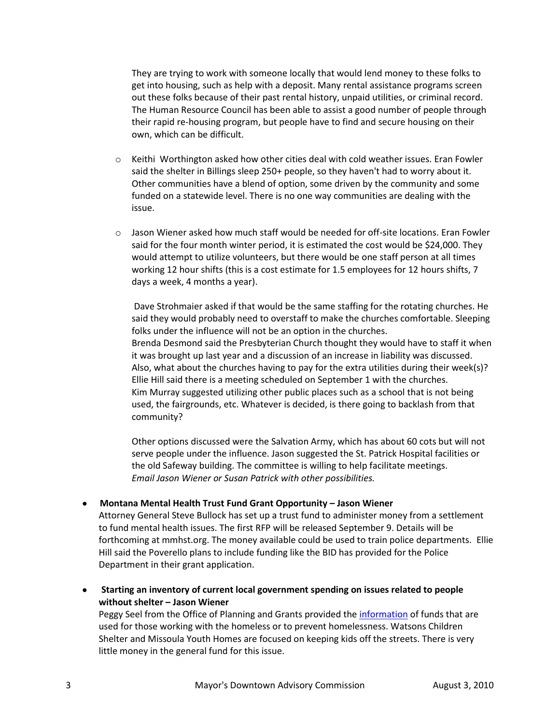They are trying to work with someone locally that would lend money to these folks to get into housing, such as help with a deposit. Many rental assistance programs screen out these folks because of their past rental history, unpaid utilities, or criminal record. The Human Resource Council has been able to assist a good number of people through their rapid re-housing program, but people have to find and secure housing on their own, which can be difficult.

- $\circ$  Keithi Worthington asked how other cities deal with cold weather issues. Eran Fowler said the shelter in Billings sleep 250+ people, so they haven't had to worry about it. Other communities have a blend of option, some driven by the community and some funded on a statewide level. There is no one way communities are dealing with the issue.
- $\circ$  Jason Wiener asked how much staff would be needed for off-site locations. Eran Fowler said for the four month winter period, it is estimated the cost would be \$24,000. They would attempt to utilize volunteers, but there would be one staff person at all times working 12 hour shifts (this is a cost estimate for 1.5 employees for 12 hours shifts, 7 days a week, 4 months a year).

Dave Strohmaier asked if that would be the same staffing for the rotating churches. He said they would probably need to overstaff to make the churches comfortable. Sleeping folks under the influence will not be an option in the churches. Brenda Desmond said the Presbyterian Church thought they would have to staff it when it was brought up last year and a discussion of an increase in liability was discussed. Also, what about the churches having to pay for the extra utilities during their week(s)? Ellie Hill said there is a meeting scheduled on September 1 with the churches. Kim Murray suggested utilizing other public places such as a school that is not being used, the fairgrounds, etc. Whatever is decided, is there going to backlash from that community?

Other options discussed were the Salvation Army, which has about 60 cots but will not serve people under the influence. Jason suggested the St. Patrick Hospital facilities or the old Safeway building. The committee is willing to help facilitate meetings. *Email Jason Wiener or Susan Patrick with other possibilities.*

## **Montana Mental Health Trust Fund Grant Opportunity – Jason Wiener**

Attorney General Steve Bullock has set up a trust fund to administer money from a settlement to fund mental health issues. The first RFP will be released September 9. Details will be forthcoming at mmhst.org. The money available could be used to train police departments. Ellie Hill said the Poverello plans to include funding like the BID has provided for the Police Department in their grant application.

 **Starting an inventory of current local government spending on issues related to people without shelter – Jason Wiener**

Peggy Seel from the Office of Planning and Grants provided the [information](ftp://ftp.ci.missoula.mt.us/Documents/Mayor/MDAC/100803List of CBOs.pdf) of funds that are used for those working with the homeless or to prevent homelessness. Watsons Children Shelter and Missoula Youth Homes are focused on keeping kids off the streets. There is very little money in the general fund for this issue.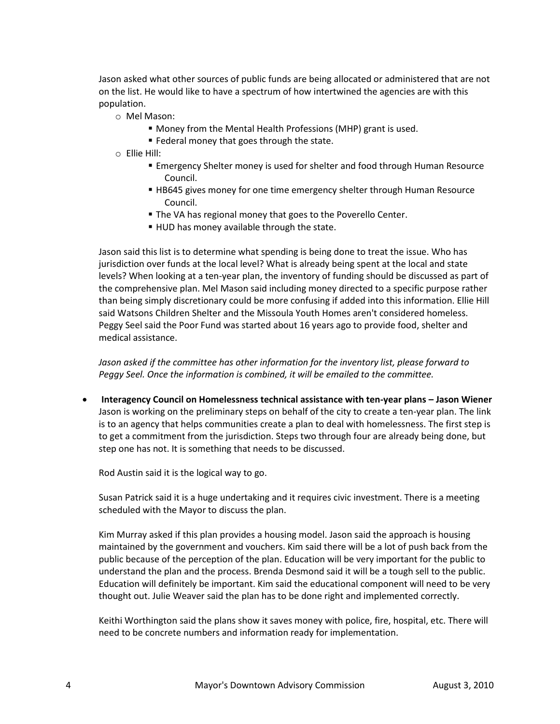Jason asked what other sources of public funds are being allocated or administered that are not on the list. He would like to have a spectrum of how intertwined the agencies are with this population.

- o Mel Mason:
	- Money from the Mental Health Professions (MHP) grant is used.
	- **Federal money that goes through the state.**
- o Ellie Hill:
	- Emergency Shelter money is used for shelter and food through Human Resource Council.
	- HB645 gives money for one time emergency shelter through Human Resource Council.
	- The VA has regional money that goes to the Poverello Center.
	- **HUD** has money available through the state.

Jason said this list is to determine what spending is being done to treat the issue. Who has jurisdiction over funds at the local level? What is already being spent at the local and state levels? When looking at a ten-year plan, the inventory of funding should be discussed as part of the comprehensive plan. Mel Mason said including money directed to a specific purpose rather than being simply discretionary could be more confusing if added into this information. Ellie Hill said Watsons Children Shelter and the Missoula Youth Homes aren't considered homeless. Peggy Seel said the Poor Fund was started about 16 years ago to provide food, shelter and medical assistance.

*Jason asked if the committee has other information for the inventory list, please forward to Peggy Seel. Once the information is combined, it will be emailed to the committee.*

 **Interagency Council on Homelessness technical assistance with ten-year plans – Jason Wiener** Jason is working on the preliminary steps on behalf of the city to create a ten-year plan. The link is to an agency that helps communities create a plan to deal with homelessness. The first step is to get a commitment from the jurisdiction. Steps two through four are already being done, but step one has not. It is something that needs to be discussed.

Rod Austin said it is the logical way to go.

Susan Patrick said it is a huge undertaking and it requires civic investment. There is a meeting scheduled with the Mayor to discuss the plan.

Kim Murray asked if this plan provides a housing model. Jason said the approach is housing maintained by the government and vouchers. Kim said there will be a lot of push back from the public because of the perception of the plan. Education will be very important for the public to understand the plan and the process. Brenda Desmond said it will be a tough sell to the public. Education will definitely be important. Kim said the educational component will need to be very thought out. Julie Weaver said the plan has to be done right and implemented correctly.

Keithi Worthington said the plans show it saves money with police, fire, hospital, etc. There will need to be concrete numbers and information ready for implementation.